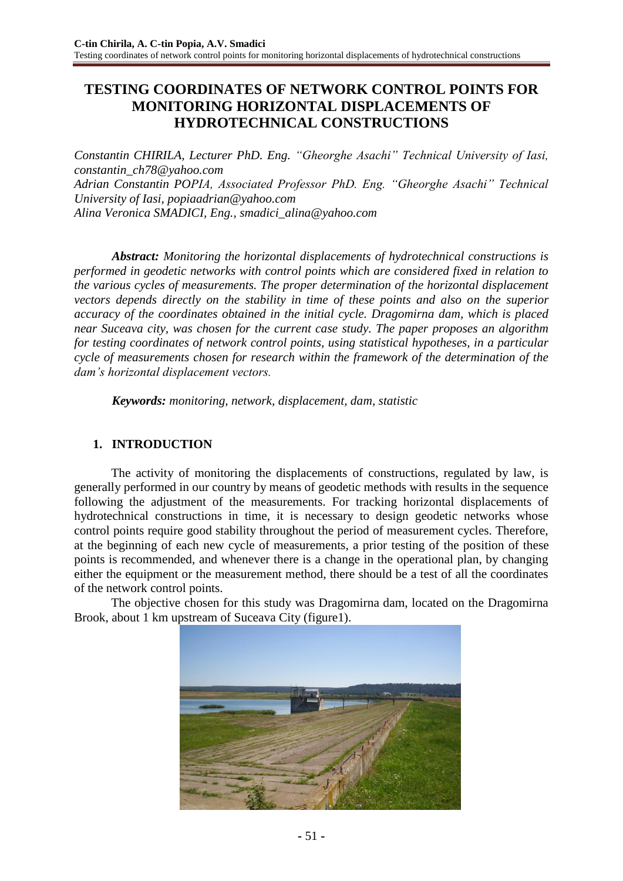# **TESTING COORDINATES OF NETWORK CONTROL POINTS FOR MONITORING HORIZONTAL DISPLACEMENTS OF HYDROTECHNICAL CONSTRUCTIONS**

*Constantin CHIRILA, Lecturer PhD. Eng. "Gheorghe Asachi" Technical University of Iasi, constantin\_ch78@yahoo.com Adrian Constantin POPIA, Associated Professor PhD. Eng. "Gheorghe Asachi" Technical University of Iasi, popiaadrian@yahoo.com Alina Veronica SMADICI, Eng., smadici\_alina@yahoo.com* 

*Abstract: Monitoring the horizontal displacements of hydrotechnical constructions is performed in geodetic networks with control points which are considered fixed in relation to the various cycles of measurements. The proper determination of the horizontal displacement vectors depends directly on the stability in time of these points and also on the superior accuracy of the coordinates obtained in the initial cycle. Dragomirna dam, which is placed near Suceava city, was chosen for the current case study. The paper proposes an algorithm for testing coordinates of network control points, using statistical hypotheses, in a particular cycle of measurements chosen for research within the framework of the determination of the dam's horizontal displacement vectors.*

*Keywords: monitoring, network, displacement, dam, statistic*

# **1. INTRODUCTION**

The activity of monitoring the displacements of constructions, regulated by law, is generally performed in our country by means of geodetic methods with results in the sequence following the adjustment of the measurements. For tracking horizontal displacements of hydrotechnical constructions in time, it is necessary to design geodetic networks whose control points require good stability throughout the period of measurement cycles. Therefore, at the beginning of each new cycle of measurements, a prior testing of the position of these points is recommended, and whenever there is a change in the operational plan, by changing either the equipment or the measurement method, there should be a test of all the coordinates of the network control points.

The objective chosen for this study was Dragomirna dam, located on the Dragomirna Brook, about 1 km upstream of Suceava City (figure1).

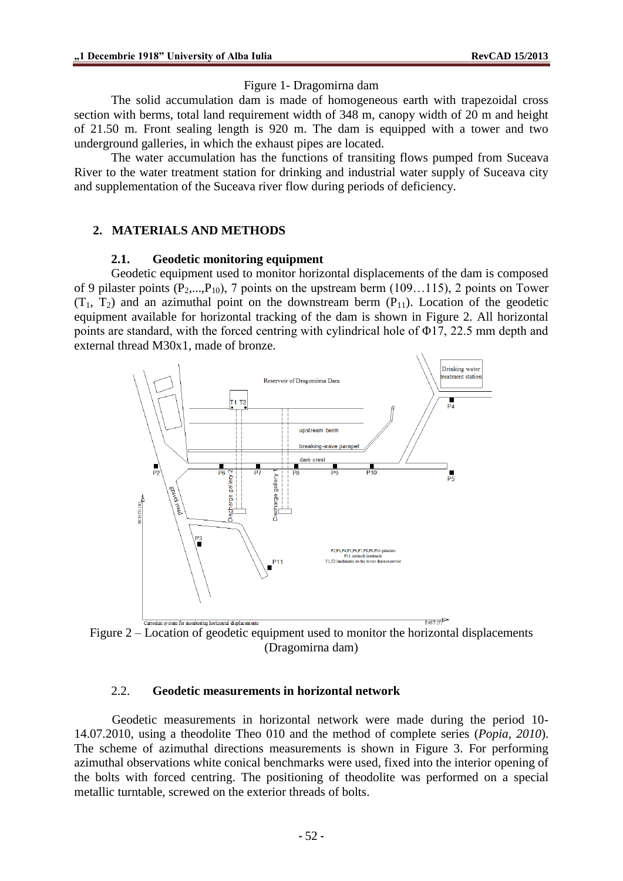### Figure 1- Dragomirna dam

The solid accumulation dam is made of homogeneous earth with trapezoidal cross section with berms, total land requirement width of 348 m, canopy width of 20 m and height of 21.50 m. Front sealing length is 920 m. The dam is equipped with a tower and two underground galleries, in which the exhaust pipes are located.

The water accumulation has the functions of transiting flows pumped from Suceava River to the water treatment station for drinking and industrial water supply of Suceava city and supplementation of the Suceava river flow during periods of deficiency.

# **2. MATERIALS AND METHODS**

### **2.1. Geodetic monitoring equipment**

Geodetic equipment used to monitor horizontal displacements of the dam is composed of 9 pilaster points  $(P_2,...,P_{10})$ , 7 points on the upstream berm (109...115), 2 points on Tower  $(T_1, T_2)$  and an azimuthal point on the downstream berm  $(P_{11})$ . Location of the geodetic equipment available for horizontal tracking of the dam is shown in Figure 2. All horizontal points are standard, with the forced centring with cylindrical hole of Φ17, 22.5 mm depth and external thread M30x1, made of bronze.



Figure 2 – Location of geodetic equipment used to monitor the horizontal displacements (Dragomirna dam)

### 2.2. **Geodetic measurements in horizontal network**

Geodetic measurements in horizontal network were made during the period 10- 14.07.2010, using a theodolite Theo 010 and the method of complete series (*Popia, 2010*). The scheme of azimuthal directions measurements is shown in Figure 3. For performing azimuthal observations white conical benchmarks were used, fixed into the interior opening of the bolts with forced centring. The positioning of theodolite was performed on a special metallic turntable, screwed on the exterior threads of bolts.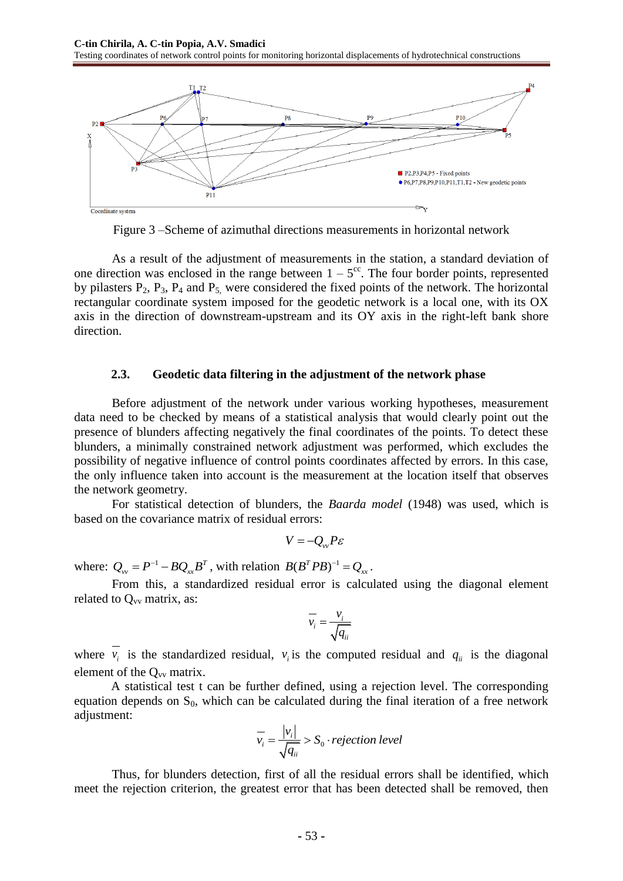

Figure 3 –Scheme of azimuthal directions measurements in horizontal network

As a result of the adjustment of measurements in the station, a standard deviation of one direction was enclosed in the range between  $1 - 5<sup>cc</sup>$ . The four border points, represented by pilasters  $P_2$ ,  $P_3$ ,  $P_4$  and  $P_5$ , were considered the fixed points of the network. The horizontal rectangular coordinate system imposed for the geodetic network is a local one, with its OX axis in the direction of downstream-upstream and its OY axis in the right-left bank shore direction.

#### **2.3. Geodetic data filtering in the adjustment of the network phase**

Before adjustment of the network under various working hypotheses, measurement data need to be checked by means of a statistical analysis that would clearly point out the presence of blunders affecting negatively the final coordinates of the points. To detect these blunders, a minimally constrained network adjustment was performed, which excludes the possibility of negative influence of control points coordinates affected by errors. In this case, the only influence taken into account is the measurement at the location itself that observes the network geometry.

For statistical detection of blunders, the *Baarda model* (1948) was used, which is based on the covariance matrix of residual errors:

$$
V=-Q_{vv}P\varepsilon
$$

where:  $Q_{yy} = P^{-1} - BQ_{xx}B^T$ , with relation  $B(B^T P B)^{-1} = Q_{xx}$ .

From this, a standardized residual error is calculated using the diagonal element related to  $Q_{vv}$  matrix, as:

$$
\overline{v_i} = \frac{v_i}{\sqrt{q_{ii}}}
$$

where  $v_i$  is the standardized residual,  $v_i$  is the computed residual and  $q_{ii}$  is the diagonal element of the  $Q_{vv}$  matrix.

A statistical test t can be further defined, using a rejection level. The corresponding equation depends on  $S_0$ , which can be calculated during the final iteration of a free network adjustment:

$$
\overline{v_i} = \frac{|v_i|}{\sqrt{q_{ii}}} > S_0 \cdot rejection\ level
$$

Thus, for blunders detection, first of all the residual errors shall be identified, which meet the rejection criterion, the greatest error that has been detected shall be removed, then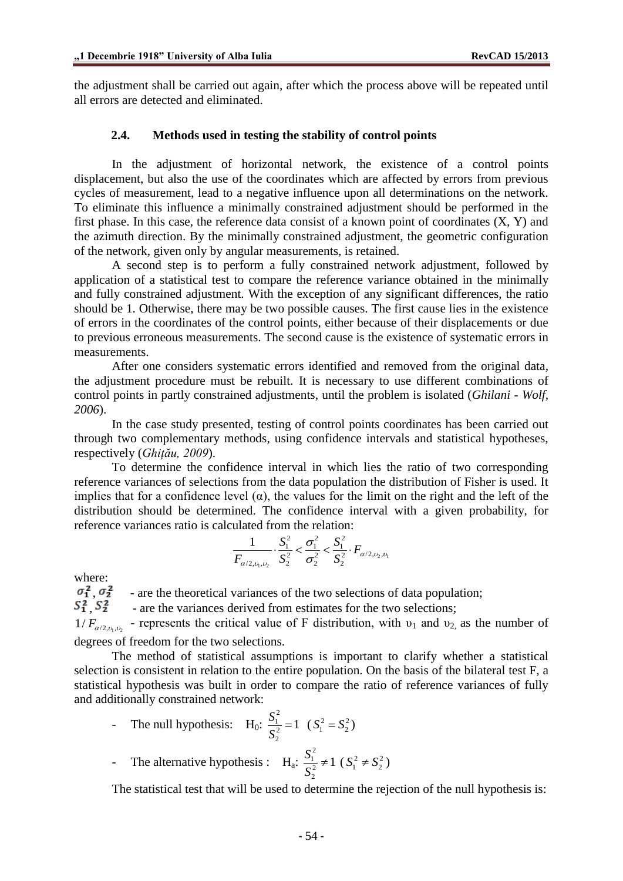the adjustment shall be carried out again, after which the process above will be repeated until all errors are detected and eliminated.

#### **2.4. Methods used in testing the stability of control points**

In the adjustment of horizontal network, the existence of a control points displacement, but also the use of the coordinates which are affected by errors from previous cycles of measurement, lead to a negative influence upon all determinations on the network. To eliminate this influence a minimally constrained adjustment should be performed in the first phase. In this case, the reference data consist of a known point of coordinates (X, Y) and the azimuth direction. By the minimally constrained adjustment, the geometric configuration of the network, given only by angular measurements, is retained.

A second step is to perform a fully constrained network adjustment, followed by application of a statistical test to compare the reference variance obtained in the minimally and fully constrained adjustment. With the exception of any significant differences, the ratio should be 1. Otherwise, there may be two possible causes. The first cause lies in the existence of errors in the coordinates of the control points, either because of their displacements or due to previous erroneous measurements. The second cause is the existence of systematic errors in measurements.

After one considers systematic errors identified and removed from the original data, the adjustment procedure must be rebuilt. It is necessary to use different combinations of control points in partly constrained adjustments, until the problem is isolated (*Ghilani - Wolf, 2006*).

In the case study presented, testing of control points coordinates has been carried out through two complementary methods, using confidence intervals and statistical hypotheses, respectively (*Ghițău, 2009*).

To determine the confidence interval in which lies the ratio of two corresponding reference variances of selections from the data population the distribution of Fisher is used. It implies that for a confidence level  $(\alpha)$ , the values for the limit on the right and the left of the distribution should be determined. The confidence interval with a given probability, for reference variances ratio is calculated from the relation:<br> $\frac{1}{\sqrt{S_1^2}} \times \frac{S_1^2}{\sqrt{S_2^2}} \times \frac{S_1^2}{\sqrt{S_1^2}} \times F$ 

$$
\frac{1}{F_{\alpha/2,\nu_1,\nu_2}} \cdot \frac{S_1^2}{S_2^2} < \frac{\sigma_1^2}{\sigma_2^2} < \frac{S_1^2}{S_2^2} \cdot F_{\alpha/2,\nu_2,\nu_1}
$$

where:<br> $\sigma_1^2$   $\sigma_2^2$ 

 $\sigma_1^2$ ,  $\sigma_2^2$  - are the theoretical variances of the two selections of data population;<br> $S_1^2$ ,  $S_2^2$  - are the variances derived from estimates for the two selections:

, - are the variances derived from estimates for the two selections;

 $1/F_{\alpha/2, \nu_1, \nu_2}$  - represents the critical value of F distribution, with  $\nu_1$  and  $\nu_2$ , as the number of degrees of freedom for the two selections.

The method of statistical assumptions is important to clarify whether a statistical selection is consistent in relation to the entire population. On the basis of the bilateral test F, a statistical hypothesis was built in order to compare the ratio of reference variances of fully and additionally constrained network:

- The null hypothesis: H<sub>0</sub>: 
$$
\frac{S_1^2}{S_2^2} = 1
$$
 ( $S_1^2 = S_2^2$ )

- The alternative hypothesis :  $H_a$ : 2 1 2 2  $\frac{S_1^2}{2} \neq 1$ *S*  $\neq 1 \; (S_1^2 \neq S_2^2)$ 

The statistical test that will be used to determine the rejection of the null hypothesis is: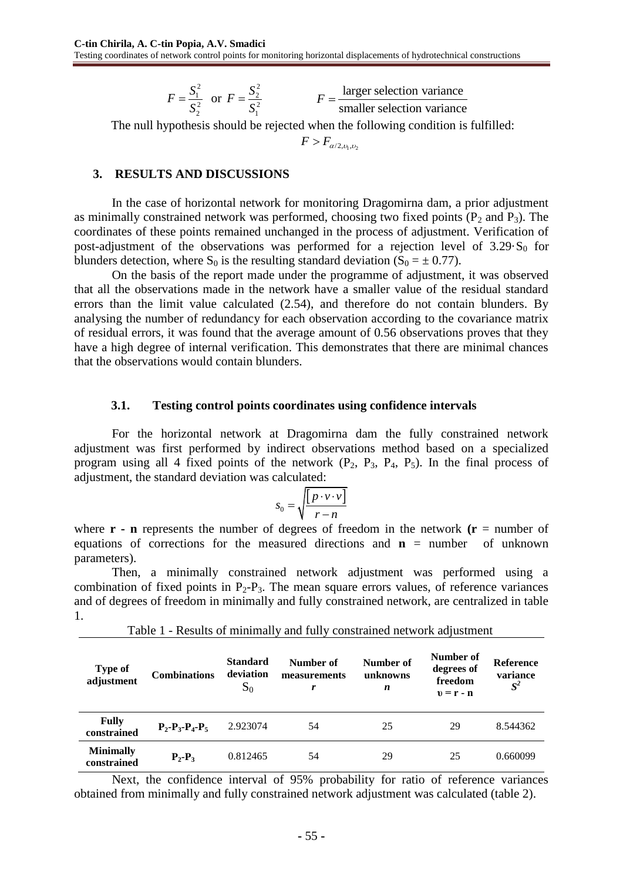2 1 2 2  $F = \frac{S}{S}$ *S*  $=\frac{b_1}{a_2}$  or 2 2 2 1  $F = \frac{S}{S}$ *S*  $=\frac{62}{2}$ larger selection variance  $F = \frac{\text{rangle acceleration variance}}{\text{smaller selection variance}}$ 

The null hypothesis should be rejected when the following condition is fulfilled:

 $F > F_{\alpha/2, \nu_1, \nu_2}$ 

#### **3. RESULTS AND DISCUSSIONS**

In the case of horizontal network for monitoring Dragomirna dam, a prior adjustment as minimally constrained network was performed, choosing two fixed points  $(P_2 \text{ and } P_3)$ . The coordinates of these points remained unchanged in the process of adjustment. Verification of post-adjustment of the observations was performed for a rejection level of  $3.29 S<sub>0</sub>$  for blunders detection, where S<sub>0</sub> is the resulting standard deviation (S<sub>0</sub> =  $\pm$  0.77).

On the basis of the report made under the programme of adjustment, it was observed that all the observations made in the network have a smaller value of the residual standard errors than the limit value calculated (2.54), and therefore do not contain blunders. By analysing the number of redundancy for each observation according to the covariance matrix of residual errors, it was found that the average amount of 0.56 observations proves that they have a high degree of internal verification. This demonstrates that there are minimal chances that the observations would contain blunders.

#### **3.1. Testing control points coordinates using confidence intervals**

For the horizontal network at Dragomirna dam the fully constrained network adjustment was first performed by indirect observations method based on a specialized program using all 4 fixed points of the network  $(P_2, P_3, P_4, P_5)$ . In the final process of adjustment, the standard deviation was calculated:

$$
S_0 = \sqrt{\frac{\left[p \cdot v \cdot v\right]}{r - n}}
$$

where  $\mathbf{r}$  - **n** represents the number of degrees of freedom in the network  $(\mathbf{r} =$  number of equations of corrections for the measured directions and  $\mathbf{n}$  = number of unknown parameters).

Then, a minimally constrained network adjustment was performed using a combination of fixed points in  $P_2-P_3$ . The mean square errors values, of reference variances and of degrees of freedom in minimally and fully constrained network, are centralized in table 1.

| <b>Type of</b><br>adjustment    | <b>Combinations</b>     | <b>Standard</b><br>deviation<br>$S_0$ | Number of<br>measurements<br>r | Number of<br>unknowns<br>n | Number of<br>degrees of<br>freedom<br>$v = r - n$ | <b>Reference</b><br>variance<br>$S^2$ |
|---------------------------------|-------------------------|---------------------------------------|--------------------------------|----------------------------|---------------------------------------------------|---------------------------------------|
| <b>Fully</b><br>constrained     | $P_2 - P_3 - P_4 - P_5$ | 2.923074                              | 54                             | 25                         | 29                                                | 8.544362                              |
| <b>Minimally</b><br>constrained | $P_2-P_3$               | 0.812465                              | 54                             | 29                         | 25                                                | 0.660099                              |

Table 1 - Results of minimally and fully constrained network adjustment

Next, the confidence interval of 95% probability for ratio of reference variances obtained from minimally and fully constrained network adjustment was calculated (table 2).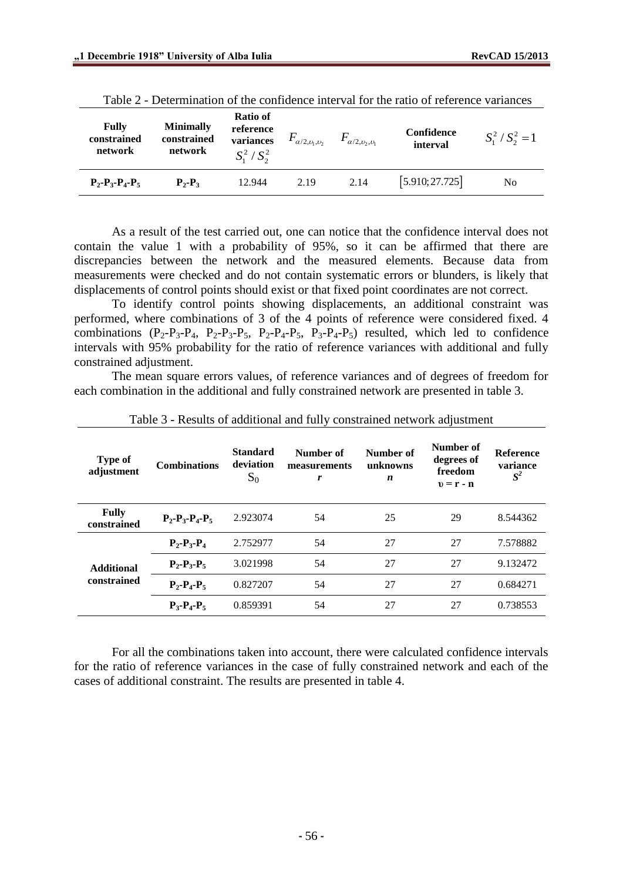| <b>Fully</b><br>constrained<br>network | <b>Minimally</b><br>constrained<br>network | Ratio of<br>reference<br>variances<br>$S_1^2/S_2^2$ | $F_{\alpha/2,\nu_1,\nu_2}$ | $F_{\alpha/2,\nu_2,\nu_1}$ | Confidence<br>interval | $S_1^2 / S_2^2 = 1$ |
|----------------------------------------|--------------------------------------------|-----------------------------------------------------|----------------------------|----------------------------|------------------------|---------------------|
| $P_2 - P_3 - P_4 - P_5$                | $P_{2}$ - $P_{3}$                          | 12.944                                              | 2.19                       | 2.14                       | [5.910; 27.725]        | No                  |

|  |  | Table 2 - Determination of the confidence interval for the ratio of reference variances |  |  |  |
|--|--|-----------------------------------------------------------------------------------------|--|--|--|
|  |  |                                                                                         |  |  |  |

As a result of the test carried out, one can notice that the confidence interval does not contain the value 1 with a probability of 95%, so it can be affirmed that there are discrepancies between the network and the measured elements. Because data from measurements were checked and do not contain systematic errors or blunders, is likely that displacements of control points should exist or that fixed point coordinates are not correct.

To identify control points showing displacements, an additional constraint was performed, where combinations of 3 of the 4 points of reference were considered fixed. 4 combinations  $(P_2-P_3-P_4, P_2-P_3-P_5, P_2-P_4-P_5, P_3-P_4-P_5)$  resulted, which led to confidence intervals with 95% probability for the ratio of reference variances with additional and fully constrained adjustment.

The mean square errors values, of reference variances and of degrees of freedom for each combination in the additional and fully constrained network are presented in table 3.

| Type of<br>adjustment       | <b>Combinations</b>     | <b>Standard</b><br>deviation<br>$S_0$ | Number of<br>measurements<br>r | Number of<br>unknowns<br>n | Number of<br>degrees of<br>freedom<br>$v = r - n$ | <b>Reference</b><br>variance<br>$S^2$ |
|-----------------------------|-------------------------|---------------------------------------|--------------------------------|----------------------------|---------------------------------------------------|---------------------------------------|
| <b>Fully</b><br>constrained | $P_2 - P_3 - P_4 - P_5$ | 2.923074                              | 54                             | 25                         | 29                                                | 8.544362                              |
|                             | $P_2-P_3-P_4$           | 2.752977                              | 54                             | 27                         | 27                                                | 7.578882                              |
| <b>Additional</b>           | $P_2 - P_3 - P_5$       | 3.021998                              | 54                             | 27                         | 27                                                | 9.132472                              |
| constrained                 | $P_2-P_4-P_5$           | 0.827207                              | 54                             | 27                         | 27                                                | 0.684271                              |
|                             | $P_3-P_4-P_5$           | 0.859391                              | 54                             | 27                         | 27                                                | 0.738553                              |

Table 3 - Results of additional and fully constrained network adjustment

For all the combinations taken into account, there were calculated confidence intervals for the ratio of reference variances in the case of fully constrained network and each of the cases of additional constraint. The results are presented in table 4.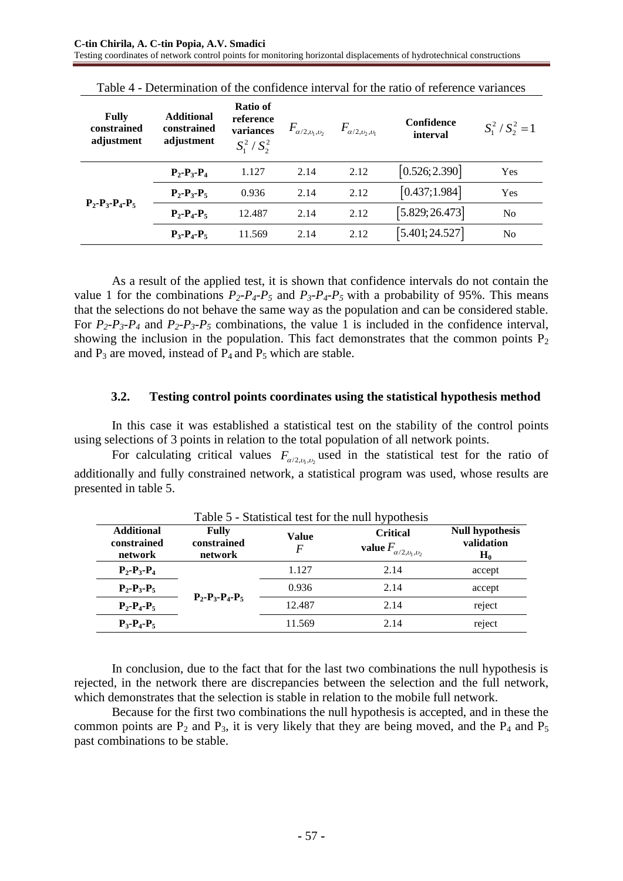| <b>Fully</b><br>constrained<br>adjustment | <b>Additional</b><br>constrained<br>adjustment | Ratio of<br>reference<br>variances<br>$S_1^2/S_2^2$ | $F_{\alpha/2, \nu_1, \nu_2}$ | $F_{\alpha/2,\upsilon_2,\upsilon_1}$ | Confidence<br>interval | $S_1^2 / S_2^2 = 1$ |
|-------------------------------------------|------------------------------------------------|-----------------------------------------------------|------------------------------|--------------------------------------|------------------------|---------------------|
| $P_2 - P_3 - P_4 - P_5$                   | $P_2 - P_3 - P_4$                              | 1.127                                               | 2.14                         | 2.12                                 | [0.526; 2.390]         | Yes                 |
|                                           | $P_2 - P_3 - P_5$                              | 0.936                                               | 2.14                         | 2.12                                 | [0.437;1.984]          | Yes                 |
|                                           | $P_2-P_4-P_5$                                  | 12.487                                              | 2.14                         | 2.12                                 | [5.829; 26.473]        | No                  |
|                                           | $P_3 - P_4 - P_5$                              | 11.569                                              | 2.14                         | 2.12                                 | [5.401; 24.527]        | N <sub>0</sub>      |

Table 4 - Determination of the confidence interval for the ratio of reference variances

As a result of the applied test, it is shown that confidence intervals do not contain the value 1 for the combinations  $P_2$ - $P_4$ - $P_5$  and  $P_3$ - $P_4$ - $P_5$  with a probability of 95%. This means that the selections do not behave the same way as the population and can be considered stable. For  $P_2$ - $P_3$ - $P_4$  and  $P_2$ - $P_3$ - $P_5$  combinations, the value 1 is included in the confidence interval, showing the inclusion in the population. This fact demonstrates that the common points  $P_2$ and  $P_3$  are moved, instead of  $P_4$  and  $P_5$  which are stable.

#### **3.2. Testing control points coordinates using the statistical hypothesis method**

In this case it was established a statistical test on the stability of the control points using selections of 3 points in relation to the total population of all network points.

For calculating critical values  $F_{\alpha/2,\nu_1,\nu_2}$  used in the statistical test for the ratio of additionally and fully constrained network, a statistical program was used, whose results are presented in table 5.

| Table 5 - Statistical test for the null hypothesis |                                        |                   |                                                                           |                                               |  |  |  |  |
|----------------------------------------------------|----------------------------------------|-------------------|---------------------------------------------------------------------------|-----------------------------------------------|--|--|--|--|
| <b>Additional</b><br>constrained<br>network        | <b>Fully</b><br>constrained<br>network | Value<br>$\bm{F}$ | <b>Critical</b><br>value $F_{\alpha/2,\upsilon_{\rm l},\upsilon_{\rm 2}}$ | <b>Null hypothesis</b><br>validation<br>$H_0$ |  |  |  |  |
| $P_2 - P_3 - P_4$                                  | $P_2 - P_3 - P_4 - P_5$                | 1.127             | 2.14                                                                      | accept                                        |  |  |  |  |
| $P_2 - P_3 - P_5$                                  |                                        | 0.936             | 2.14                                                                      | accept                                        |  |  |  |  |
| $P_2-P_4-P_5$                                      |                                        | 12.487            | 2.14                                                                      | reject                                        |  |  |  |  |
| $P_3 - P_4 - P_5$                                  |                                        | 11.569            | 2.14                                                                      | reject                                        |  |  |  |  |

In conclusion, due to the fact that for the last two combinations the null hypothesis is rejected, in the network there are discrepancies between the selection and the full network, which demonstrates that the selection is stable in relation to the mobile full network.

Because for the first two combinations the null hypothesis is accepted, and in these the common points are  $P_2$  and  $P_3$ , it is very likely that they are being moved, and the  $P_4$  and  $P_5$ past combinations to be stable.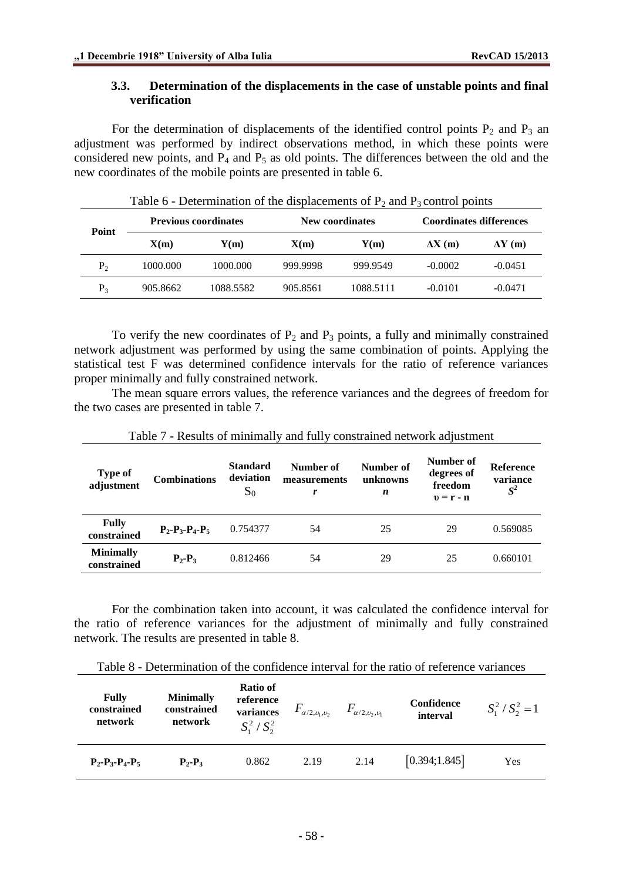### **3.3. Determination of the displacements in the case of unstable points and final verification**

For the determination of displacements of the identified control points  $P_2$  and  $P_3$  an adjustment was performed by indirect observations method, in which these points were considered new points, and  $P_4$  and  $P_5$  as old points. The differences between the old and the new coordinates of the mobile points are presented in table 6.

| Point   | <b>Previous coordinates</b> |           |          | New coordinates | <b>Coordinates differences</b> |                |  |
|---------|-----------------------------|-----------|----------|-----------------|--------------------------------|----------------|--|
|         | X(m)                        | Y(m)      | X(m)     | Y(m)            | $\Delta X(m)$                  | $\Delta Y$ (m) |  |
| $P_2$   | 1000.000                    | 1000.000  | 999.9998 | 999.9549        | $-0.0002$                      | $-0.0451$      |  |
| $P_{3}$ | 905.8662                    | 1088.5582 | 905.8561 | 1088.5111       | $-0.0101$                      | $-0.0471$      |  |

Table 6 - Determination of the displacements of  $P_2$  and  $P_3$  control points

To verify the new coordinates of  $P_2$  and  $P_3$  points, a fully and minimally constrained network adjustment was performed by using the same combination of points. Applying the statistical test F was determined confidence intervals for the ratio of reference variances proper minimally and fully constrained network.

The mean square errors values, the reference variances and the degrees of freedom for the two cases are presented in table 7.

| <b>Type of</b><br>adjustment    | <b>Combinations</b> | <b>Standard</b><br>deviation<br>$S_0$ | Number of<br>measurements | Number of<br>unknowns<br>n | Number of<br>degrees of<br>freedom<br>$v = r - n$ | <b>Reference</b><br>variance<br>$S^2$ |
|---------------------------------|---------------------|---------------------------------------|---------------------------|----------------------------|---------------------------------------------------|---------------------------------------|
| <b>Fully</b><br>constrained     | $P_2-P_3-P_4-P_5$   | 0.754377                              | 54                        | 25                         | 29                                                | 0.569085                              |
| <b>Minimally</b><br>constrained | $P_2-P_3$           | 0.812466                              | 54                        | 29                         | 25                                                | 0.660101                              |

Table 7 - Results of minimally and fully constrained network adjustment

For the combination taken into account, it was calculated the confidence interval for the ratio of reference variances for the adjustment of minimally and fully constrained network. The results are presented in table 8.

| <b>Fully</b><br>constrained<br>network | <b>Minimally</b><br>constrained<br>network | Ratio of<br>reference<br>variances<br>$S_1^2/S_2^2$ | $F_{\alpha/2,\nu_1,\nu_2}$ | $F_{\alpha/2,\nu_2,\nu_1}$ | Confidence<br>interval | $S_1^2 / S_2^2 = 1$ |
|----------------------------------------|--------------------------------------------|-----------------------------------------------------|----------------------------|----------------------------|------------------------|---------------------|
| $P_2 - P_3 - P_4 - P_5$                | $P_{2}$ - $P_{3}$                          | 0.862                                               | 2.19                       | 2.14                       | [0.394; 1.845]         | Yes                 |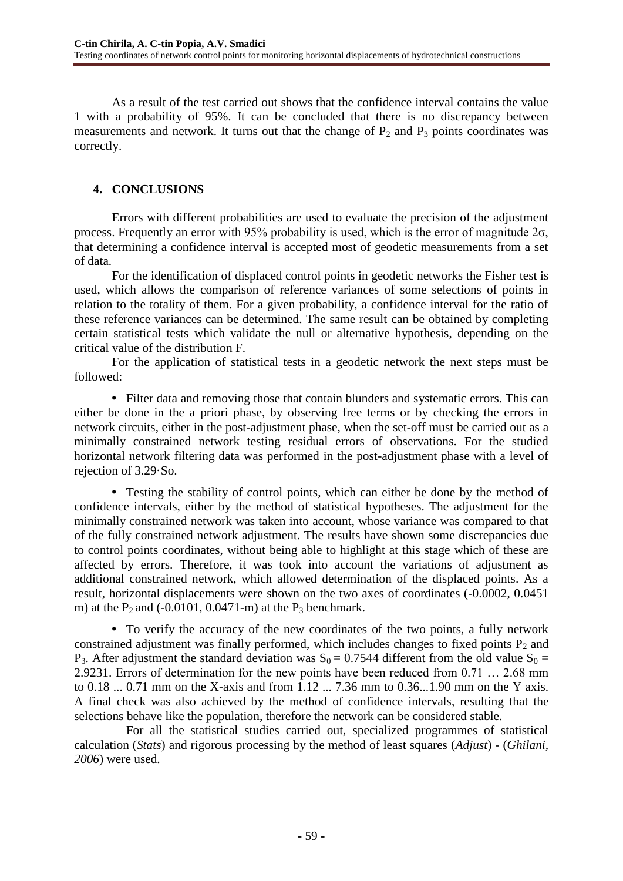As a result of the test carried out shows that the confidence interval contains the value 1 with a probability of 95%. It can be concluded that there is no discrepancy between measurements and network. It turns out that the change of  $P_2$  and  $P_3$  points coordinates was correctly.

# **4. CONCLUSIONS**

Errors with different probabilities are used to evaluate the precision of the adjustment process. Frequently an error with 95% probability is used, which is the error of magnitude  $2\sigma$ , that determining a confidence interval is accepted most of geodetic measurements from a set of data.

For the identification of displaced control points in geodetic networks the Fisher test is used, which allows the comparison of reference variances of some selections of points in relation to the totality of them. For a given probability, a confidence interval for the ratio of these reference variances can be determined. The same result can be obtained by completing certain statistical tests which validate the null or alternative hypothesis, depending on the critical value of the distribution F.

For the application of statistical tests in a geodetic network the next steps must be followed:

• Filter data and removing those that contain blunders and systematic errors. This can either be done in the a priori phase, by observing free terms or by checking the errors in network circuits, either in the post-adjustment phase, when the set-off must be carried out as a minimally constrained network testing residual errors of observations. For the studied horizontal network filtering data was performed in the post-adjustment phase with a level of rejection of 3.29·So.

 Testing the stability of control points, which can either be done by the method of confidence intervals, either by the method of statistical hypotheses. The adjustment for the minimally constrained network was taken into account, whose variance was compared to that of the fully constrained network adjustment. The results have shown some discrepancies due to control points coordinates, without being able to highlight at this stage which of these are affected by errors. Therefore, it was took into account the variations of adjustment as additional constrained network, which allowed determination of the displaced points. As a result, horizontal displacements were shown on the two axes of coordinates (-0.0002, 0.0451 m) at the  $P_2$  and (-0.0101, 0.0471-m) at the  $P_3$  benchmark.

 To verify the accuracy of the new coordinates of the two points, a fully network constrained adjustment was finally performed, which includes changes to fixed points  $P_2$  and P<sub>3</sub>. After adjustment the standard deviation was  $S_0 = 0.7544$  different from the old value  $S_0 =$ 2.9231. Errors of determination for the new points have been reduced from 0.71 … 2.68 mm to 0.18 ... 0.71 mm on the X-axis and from 1.12 ... 7.36 mm to 0.36...1.90 mm on the Y axis. A final check was also achieved by the method of confidence intervals, resulting that the selections behave like the population, therefore the network can be considered stable.

For all the statistical studies carried out, specialized programmes of statistical calculation (*Stats*) and rigorous processing by the method of least squares (*Adjust*) - (*Ghilani, 2006*) were used.